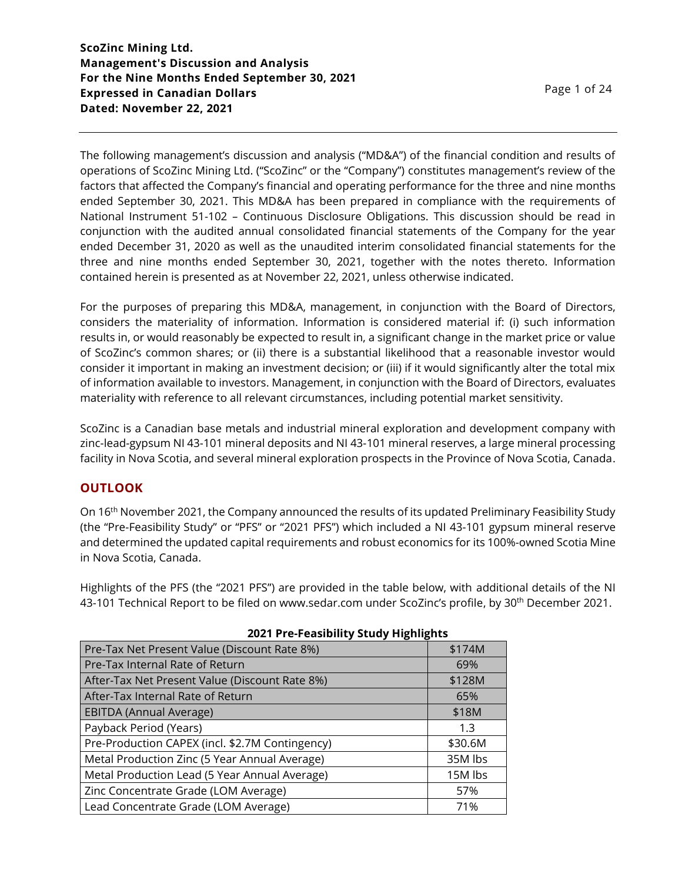The following management's discussion and analysis ("MD&A") of the financial condition and results of operations of ScoZinc Mining Ltd. ("ScoZinc" or the "Company") constitutes management's review of the factors that affected the Company's financial and operating performance for the three and nine months ended September 30, 2021. This MD&A has been prepared in compliance with the requirements of National Instrument 51-102 – Continuous Disclosure Obligations. This discussion should be read in conjunction with the audited annual consolidated financial statements of the Company for the year ended December 31, 2020 as well as the unaudited interim consolidated financial statements for the three and nine months ended September 30, 2021, together with the notes thereto. Information contained herein is presented as at November 22, 2021, unless otherwise indicated.

For the purposes of preparing this MD&A, management, in conjunction with the Board of Directors, considers the materiality of information. Information is considered material if: (i) such information results in, or would reasonably be expected to result in, a significant change in the market price or value of ScoZinc's common shares; or (ii) there is a substantial likelihood that a reasonable investor would consider it important in making an investment decision; or (iii) if it would significantly alter the total mix of information available to investors. Management, in conjunction with the Board of Directors, evaluates materiality with reference to all relevant circumstances, including potential market sensitivity.

ScoZinc is a Canadian base metals and industrial mineral exploration and development company with zinc-lead-gypsum NI 43-101 mineral deposits and NI 43-101 mineral reserves, a large mineral processing facility in Nova Scotia, and several mineral exploration prospects in the Province of Nova Scotia, Canada.

# **OUTLOOK**

On 16th November 2021, the Company announced the results of its updated Preliminary Feasibility Study (the "Pre-Feasibility Study" or "PFS" or "2021 PFS") which included a NI 43-101 gypsum mineral reserve and determined the updated capital requirements and robust economics for its 100%-owned Scotia Mine in Nova Scotia, Canada.

Highlights of the PFS (the "2021 PFS") are provided in the table below, with additional details of the NI 43-101 Technical Report to be filed on www.sedar.com under ScoZinc's profile, by 30th December 2021.

| 2021 THE FEASINGTHY SEARCH THROUGHLES           |         |
|-------------------------------------------------|---------|
| Pre-Tax Net Present Value (Discount Rate 8%)    | \$174M  |
| Pre-Tax Internal Rate of Return                 | 69%     |
| After-Tax Net Present Value (Discount Rate 8%)  | \$128M  |
| After-Tax Internal Rate of Return               | 65%     |
| EBITDA (Annual Average)                         | \$18M   |
| Payback Period (Years)                          | 1.3     |
| Pre-Production CAPEX (incl. \$2.7M Contingency) | \$30.6M |
| Metal Production Zinc (5 Year Annual Average)   | 35M lbs |
| Metal Production Lead (5 Year Annual Average)   | 15M lbs |
| Zinc Concentrate Grade (LOM Average)            | 57%     |
| Lead Concentrate Grade (LOM Average)            | 71%     |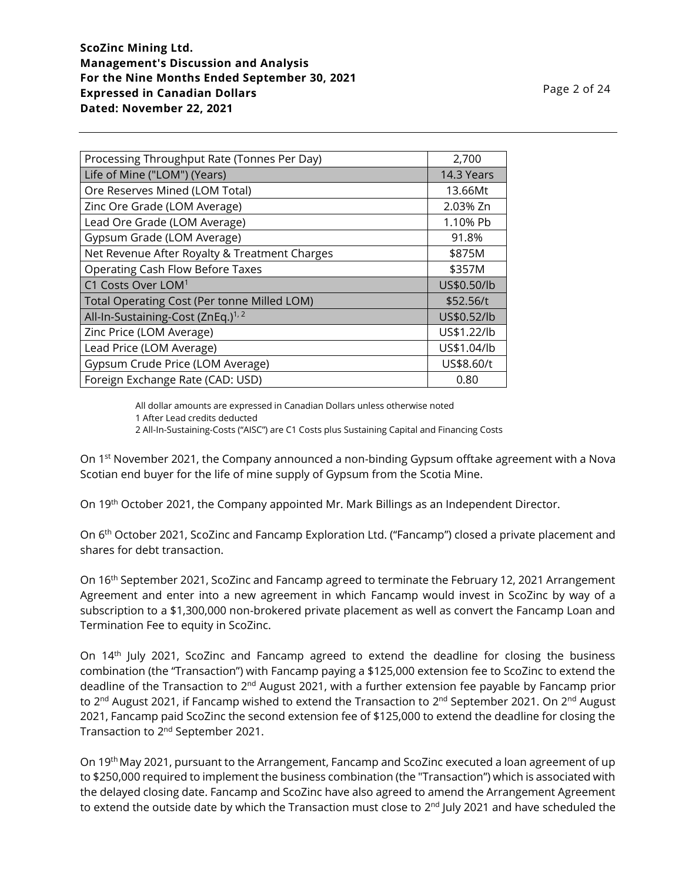| Processing Throughput Rate (Tonnes Per Day)    | 2,700       |
|------------------------------------------------|-------------|
| Life of Mine ("LOM") (Years)                   | 14.3 Years  |
| Ore Reserves Mined (LOM Total)                 | 13.66Mt     |
| Zinc Ore Grade (LOM Average)                   | 2.03% Zn    |
| Lead Ore Grade (LOM Average)                   | 1.10% Pb    |
| Gypsum Grade (LOM Average)                     | 91.8%       |
| Net Revenue After Royalty & Treatment Charges  | \$875M      |
| <b>Operating Cash Flow Before Taxes</b>        | \$357M      |
| C1 Costs Over LOM <sup>1</sup>                 | US\$0.50/lb |
| Total Operating Cost (Per tonne Milled LOM)    | \$52.56/t   |
| All-In-Sustaining-Cost (ZnEq.) <sup>1, 2</sup> | US\$0.52/lb |
| Zinc Price (LOM Average)                       | US\$1.22/lb |
| Lead Price (LOM Average)                       | US\$1.04/lb |
| Gypsum Crude Price (LOM Average)               | US\$8.60/t  |
| Foreign Exchange Rate (CAD: USD)               | 0.80        |

All dollar amounts are expressed in Canadian Dollars unless otherwise noted 1 After Lead credits deducted

2 All-In-Sustaining-Costs ("AISC") are C1 Costs plus Sustaining Capital and Financing Costs

On 1<sup>st</sup> November 2021, the Company announced a non-binding Gypsum offtake agreement with a Nova Scotian end buyer for the life of mine supply of Gypsum from the Scotia Mine.

On 19th October 2021, the Company appointed Mr. Mark Billings as an Independent Director.

On 6<sup>th</sup> October 2021, ScoZinc and Fancamp Exploration Ltd. ("Fancamp") closed a private placement and shares for debt transaction.

On 16th September 2021, ScoZinc and Fancamp agreed to terminate the February 12, 2021 Arrangement Agreement and enter into a new agreement in which Fancamp would invest in ScoZinc by way of a subscription to a \$1,300,000 non-brokered private placement as well as convert the Fancamp Loan and Termination Fee to equity in ScoZinc.

On 14<sup>th</sup> July 2021, ScoZinc and Fancamp agreed to extend the deadline for closing the business combination (the "Transaction") with Fancamp paying a \$125,000 extension fee to ScoZinc to extend the deadline of the Transaction to 2<sup>nd</sup> August 2021, with a further extension fee payable by Fancamp prior to 2<sup>nd</sup> August 2021, if Fancamp wished to extend the Transaction to 2<sup>nd</sup> September 2021. On 2<sup>nd</sup> August 2021, Fancamp paid ScoZinc the second extension fee of \$125,000 to extend the deadline for closing the Transaction to 2<sup>nd</sup> September 2021.

On 19<sup>th</sup> May 2021, pursuant to the Arrangement, Fancamp and ScoZinc executed a loan agreement of up to \$250,000 required to implement the business combination (the "Transaction") which is associated with the delayed closing date. Fancamp and ScoZinc have also agreed to amend the Arrangement Agreement to extend the outside date by which the Transaction must close to 2<sup>nd</sup> July 2021 and have scheduled the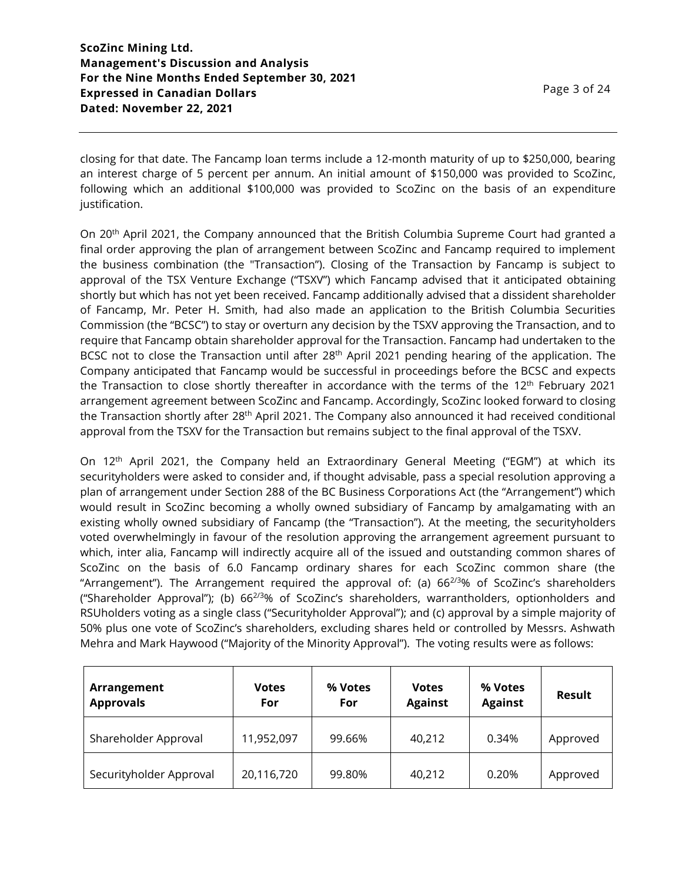closing for that date. The Fancamp loan terms include a 12-month maturity of up to \$250,000, bearing an interest charge of 5 percent per annum. An initial amount of \$150,000 was provided to ScoZinc, following which an additional \$100,000 was provided to ScoZinc on the basis of an expenditure justification.

On 20<sup>th</sup> April 2021, the Company announced that the British Columbia Supreme Court had granted a final order approving the plan of arrangement between ScoZinc and Fancamp required to implement the business combination (the "Transaction"). Closing of the Transaction by Fancamp is subject to approval of the TSX Venture Exchange ("TSXV") which Fancamp advised that it anticipated obtaining shortly but which has not yet been received. Fancamp additionally advised that a dissident shareholder of Fancamp, Mr. Peter H. Smith, had also made an application to the British Columbia Securities Commission (the "BCSC") to stay or overturn any decision by the TSXV approving the Transaction, and to require that Fancamp obtain shareholder approval for the Transaction. Fancamp had undertaken to the BCSC not to close the Transaction until after 28<sup>th</sup> April 2021 pending hearing of the application. The Company anticipated that Fancamp would be successful in proceedings before the BCSC and expects the Transaction to close shortly thereafter in accordance with the terms of the 12<sup>th</sup> February 2021 arrangement agreement between ScoZinc and Fancamp. Accordingly, ScoZinc looked forward to closing the Transaction shortly after 28<sup>th</sup> April 2021. The Company also announced it had received conditional approval from the TSXV for the Transaction but remains subject to the final approval of the TSXV.

On 12th April 2021, the Company held an Extraordinary General Meeting ("EGM") at which its securityholders were asked to consider and, if thought advisable, pass a special resolution approving a plan of arrangement under Section 288 of the BC Business Corporations Act (the "Arrangement") which would result in ScoZinc becoming a wholly owned subsidiary of Fancamp by amalgamating with an existing wholly owned subsidiary of Fancamp (the "Transaction"). At the meeting, the securityholders voted overwhelmingly in favour of the resolution approving the arrangement agreement pursuant to which, inter alia, Fancamp will indirectly acquire all of the issued and outstanding common shares of ScoZinc on the basis of 6.0 Fancamp ordinary shares for each ScoZinc common share (the "Arrangement"). The Arrangement required the approval of: (a)  $66^{2/3}\%$  of ScoZinc's shareholders ("Shareholder Approval"); (b) 662/3% of ScoZinc's shareholders, warrantholders, optionholders and RSUholders voting as a single class ("Securityholder Approval"); and (c) approval by a simple majority of 50% plus one vote of ScoZinc's shareholders, excluding shares held or controlled by Messrs. Ashwath Mehra and Mark Haywood ("Majority of the Minority Approval"). The voting results were as follows:

| Arrangement<br><b>Approvals</b> | <b>Votes</b><br>For | % Votes<br>For | <b>Votes</b><br><b>Against</b> | % Votes<br><b>Against</b> | Result   |
|---------------------------------|---------------------|----------------|--------------------------------|---------------------------|----------|
| Shareholder Approval            | 11,952,097          | 99.66%         | 40,212                         | 0.34%                     | Approved |
| Securityholder Approval         | 20,116,720          | 99.80%         | 40,212                         | 0.20%                     | Approved |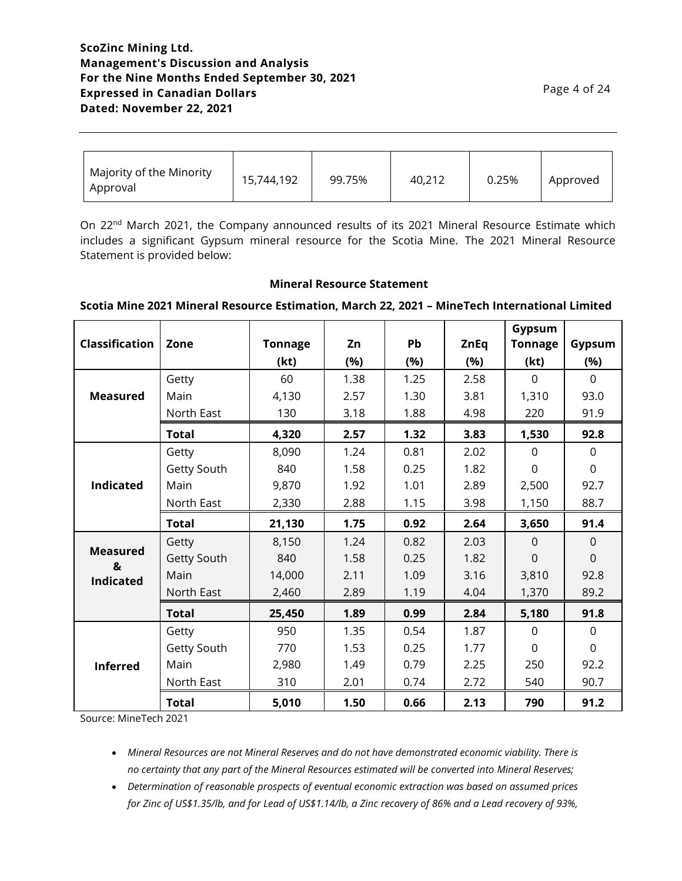# **ScoZinc Mining Ltd. Management's Discussion and Analysis For the Nine Months Ended September 30, 2021 Expressed in Canadian Dollars Dated: November 22, 2021**

| Majority of the Minority<br>Approval | 15,744,192 | 99.75% | 40,212 | 0.25% | Approved |
|--------------------------------------|------------|--------|--------|-------|----------|
|--------------------------------------|------------|--------|--------|-------|----------|

On 22<sup>nd</sup> March 2021, the Company announced results of its 2021 Mineral Resource Estimate which includes a significant Gypsum mineral resource for the Scotia Mine. The 2021 Mineral Resource Statement is provided below:

#### **Mineral Resource Statement**

#### **Scotia Mine 2021 Mineral Resource Estimation, March 22, 2021 – MineTech International Limited**

| <b>Classification</b> | Zone         | <b>Tonnage</b> | Zn   | Pb   | <b>ZnEq</b> | Gypsum<br><b>Tonnage</b> | Gypsum       |
|-----------------------|--------------|----------------|------|------|-------------|--------------------------|--------------|
|                       |              | (kt)           | (%)  | (%)  | (%)         | (kt)                     | (%)          |
|                       | Getty        | 60             | 1.38 | 1.25 | 2.58        | $\Omega$                 | $\Omega$     |
| <b>Measured</b>       | Main         | 4,130          | 2.57 | 1.30 | 3.81        | 1,310                    | 93.0         |
|                       | North East   | 130            | 3.18 | 1.88 | 4.98        | 220                      | 91.9         |
|                       | <b>Total</b> | 4,320          | 2.57 | 1.32 | 3.83        | 1,530                    | 92.8         |
|                       | Getty        | 8,090          | 1.24 | 0.81 | 2.02        | $\Omega$                 | $\mathbf{0}$ |
|                       | Getty South  | 840            | 1.58 | 0.25 | 1.82        | $\Omega$                 | $\mathbf 0$  |
| <b>Indicated</b>      | Main         | 9,870          | 1.92 | 1.01 | 2.89        | 2,500                    | 92.7         |
|                       | North East   | 2,330          | 2.88 | 1.15 | 3.98        | 1,150                    | 88.7         |
|                       | <b>Total</b> | 21,130         | 1.75 | 0.92 | 2.64        | 3,650                    | 91.4         |
|                       | Getty        | 8,150          | 1.24 | 0.82 | 2.03        | $\Omega$                 | $\Omega$     |
| <b>Measured</b><br>&  | Getty South  | 840            | 1.58 | 0.25 | 1.82        | 0                        | 0            |
| <b>Indicated</b>      | Main         | 14,000         | 2.11 | 1.09 | 3.16        | 3,810                    | 92.8         |
|                       | North East   | 2,460          | 2.89 | 1.19 | 4.04        | 1,370                    | 89.2         |
|                       | <b>Total</b> | 25,450         | 1.89 | 0.99 | 2.84        | 5,180                    | 91.8         |
|                       | Getty        | 950            | 1.35 | 0.54 | 1.87        | $\mathbf{0}$             | $\mathbf{0}$ |
|                       | Getty South  | 770            | 1.53 | 0.25 | 1.77        | $\mathbf 0$              | $\mathbf 0$  |
| <b>Inferred</b>       | Main         | 2,980          | 1.49 | 0.79 | 2.25        | 250                      | 92.2         |
|                       | North East   | 310            | 2.01 | 0.74 | 2.72        | 540                      | 90.7         |
|                       | <b>Total</b> | 5,010          | 1.50 | 0.66 | 2.13        | 790                      | 91.2         |

Source: MineTech 2021

- *Mineral Resources are not Mineral Reserves and do not have demonstrated economic viability. There is no certainty that any part of the Mineral Resources estimated will be converted into Mineral Reserves;*
- *Determination of reasonable prospects of eventual economic extraction was based on assumed prices for Zinc of US\$1.35/lb, and for Lead of US\$1.14/lb, a Zinc recovery of 86% and a Lead recovery of 93%,*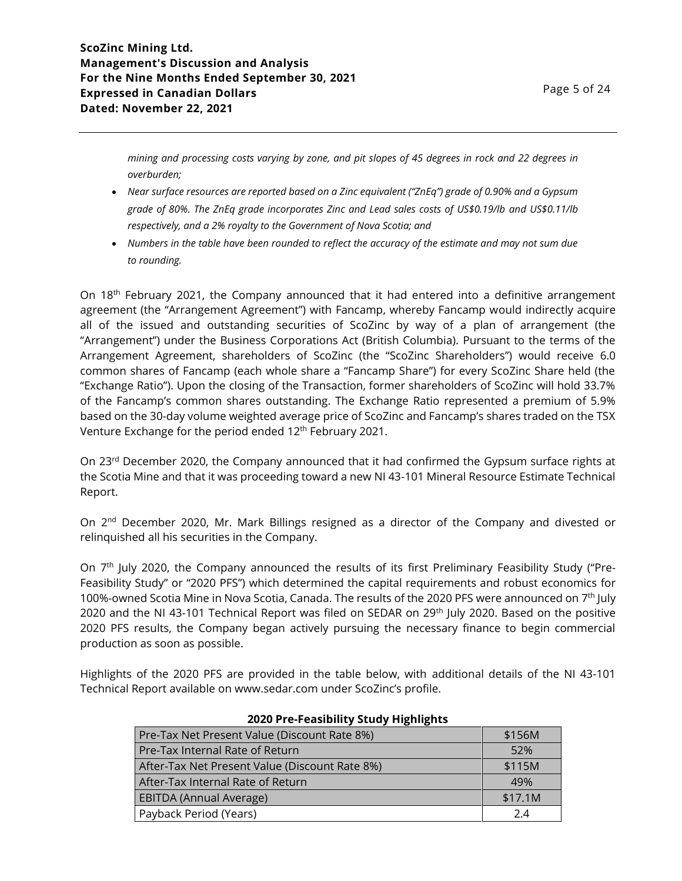*mining and processing costs varying by zone, and pit slopes of 45 degrees in rock and 22 degrees in overburden;*

- *Near surface resources are reported based on a Zinc equivalent ("ZnEq") grade of 0.90% and a Gypsum grade of 80%. The ZnEq grade incorporates Zinc and Lead sales costs of US\$0.19/lb and US\$0.11/lb respectively, and a 2% royalty to the Government of Nova Scotia; and*
- *Numbers in the table have been rounded to reflect the accuracy of the estimate and may not sum due to rounding.*

On 18<sup>th</sup> February 2021, the Company announced that it had entered into a definitive arrangement agreement (the "Arrangement Agreement") with Fancamp, whereby Fancamp would indirectly acquire all of the issued and outstanding securities of ScoZinc by way of a plan of arrangement (the "Arrangement") under the Business Corporations Act (British Columbia). Pursuant to the terms of the Arrangement Agreement, shareholders of ScoZinc (the "ScoZinc Shareholders") would receive 6.0 common shares of Fancamp (each whole share a "Fancamp Share") for every ScoZinc Share held (the "Exchange Ratio"). Upon the closing of the Transaction, former shareholders of ScoZinc will hold 33.7% of the Fancamp's common shares outstanding. The Exchange Ratio represented a premium of 5.9% based on the 30-day volume weighted average price of ScoZinc and Fancamp's shares traded on the TSX Venture Exchange for the period ended 12<sup>th</sup> February 2021.

On 23<sup>rd</sup> December 2020, the Company announced that it had confirmed the Gypsum surface rights at the Scotia Mine and that it was proceeding toward a new NI 43-101 Mineral Resource Estimate Technical Report.

On 2<sup>nd</sup> December 2020, Mr. Mark Billings resigned as a director of the Company and divested or relinquished all his securities in the Company.

On 7<sup>th</sup> July 2020, the Company announced the results of its first Preliminary Feasibility Study ("Pre-Feasibility Study" or "2020 PFS") which determined the capital requirements and robust economics for 100%-owned Scotia Mine in Nova Scotia, Canada. The results of the 2020 PFS were announced on 7<sup>th</sup> July 2020 and the NI 43-101 Technical Report was filed on SEDAR on 29<sup>th</sup> July 2020. Based on the positive 2020 PFS results, the Company began actively pursuing the necessary finance to begin commercial production as soon as possible.

Highlights of the 2020 PFS are provided in the table below, with additional details of the NI 43-101 Technical Report available on www.sedar.com under ScoZinc's profile.

| Pre-Tax Net Present Value (Discount Rate 8%)   | \$156M  |
|------------------------------------------------|---------|
| Pre-Tax Internal Rate of Return                | 52%     |
| After-Tax Net Present Value (Discount Rate 8%) | \$115M  |
| After-Tax Internal Rate of Return              | 49%     |
| <b>EBITDA (Annual Average)</b>                 | \$17.1M |
| Payback Period (Years)                         | 24      |

#### **2020 Pre-Feasibility Study Highlights**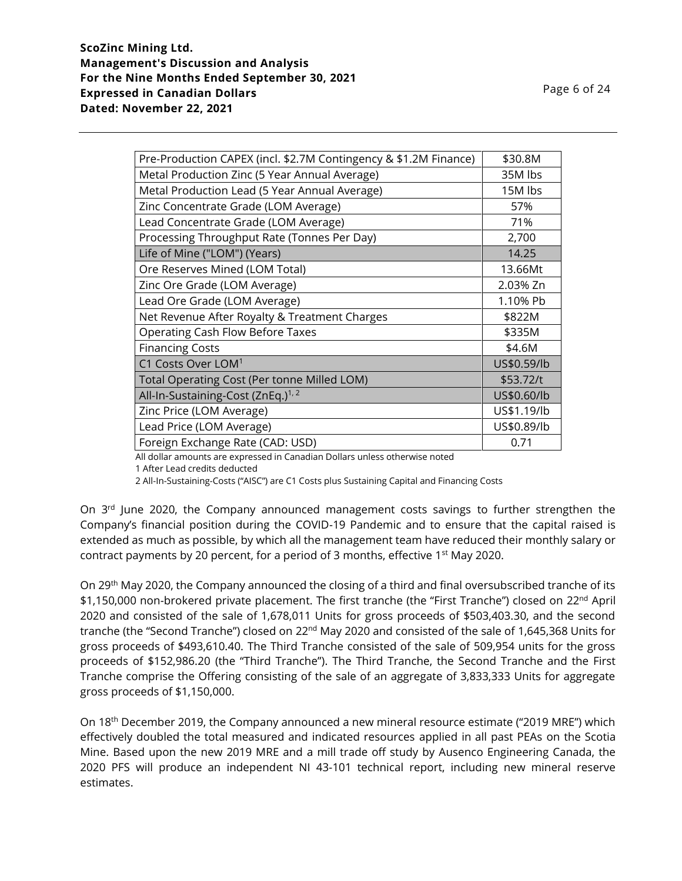| Pre-Production CAPEX (incl. \$2.7M Contingency & \$1.2M Finance) | \$30.8M     |
|------------------------------------------------------------------|-------------|
| Metal Production Zinc (5 Year Annual Average)                    | 35M lbs     |
| Metal Production Lead (5 Year Annual Average)                    | 15M lbs     |
| Zinc Concentrate Grade (LOM Average)                             | 57%         |
| Lead Concentrate Grade (LOM Average)                             | 71%         |
| Processing Throughput Rate (Tonnes Per Day)                      | 2,700       |
| Life of Mine ("LOM") (Years)                                     | 14.25       |
| Ore Reserves Mined (LOM Total)                                   | 13.66Mt     |
| Zinc Ore Grade (LOM Average)                                     | 2.03% Zn    |
| Lead Ore Grade (LOM Average)                                     | 1.10% Pb    |
| Net Revenue After Royalty & Treatment Charges                    | \$822M      |
| <b>Operating Cash Flow Before Taxes</b>                          | \$335M      |
| <b>Financing Costs</b>                                           | \$4.6M      |
| C1 Costs Over LOM <sup>1</sup>                                   | US\$0.59/lb |
| <b>Total Operating Cost (Per tonne Milled LOM)</b>               | \$53.72/t   |
| All-In-Sustaining-Cost (ZnEq.) <sup>1, 2</sup>                   | US\$0.60/lb |
| Zinc Price (LOM Average)                                         | US\$1.19/lb |
| Lead Price (LOM Average)                                         | US\$0.89/lb |
| Foreign Exchange Rate (CAD: USD)                                 | 0.71        |

All dollar amounts are expressed in Canadian Dollars unless otherwise noted

1 After Lead credits deducted

2 All-In-Sustaining-Costs ("AISC") are C1 Costs plus Sustaining Capital and Financing Costs

On 3<sup>rd</sup> June 2020, the Company announced management costs savings to further strengthen the Company's financial position during the COVID-19 Pandemic and to ensure that the capital raised is extended as much as possible, by which all the management team have reduced their monthly salary or contract payments by 20 percent, for a period of 3 months, effective  $1<sup>st</sup>$  May 2020.

On 29th May 2020, the Company announced the closing of a third and final oversubscribed tranche of its \$1,150,000 non-brokered private placement. The first tranche (the "First Tranche") closed on 22<sup>nd</sup> April 2020 and consisted of the sale of 1,678,011 Units for gross proceeds of \$503,403.30, and the second tranche (the "Second Tranche") closed on 22<sup>nd</sup> May 2020 and consisted of the sale of 1,645,368 Units for gross proceeds of \$493,610.40. The Third Tranche consisted of the sale of 509,954 units for the gross proceeds of \$152,986.20 (the "Third Tranche"). The Third Tranche, the Second Tranche and the First Tranche comprise the Offering consisting of the sale of an aggregate of 3,833,333 Units for aggregate gross proceeds of \$1,150,000.

On 18<sup>th</sup> December 2019, the Company announced a new mineral resource estimate ("2019 MRE") which effectively doubled the total measured and indicated resources applied in all past PEAs on the Scotia Mine. Based upon the new 2019 MRE and a mill trade off study by Ausenco Engineering Canada, the 2020 PFS will produce an independent NI 43-101 technical report, including new mineral reserve estimates.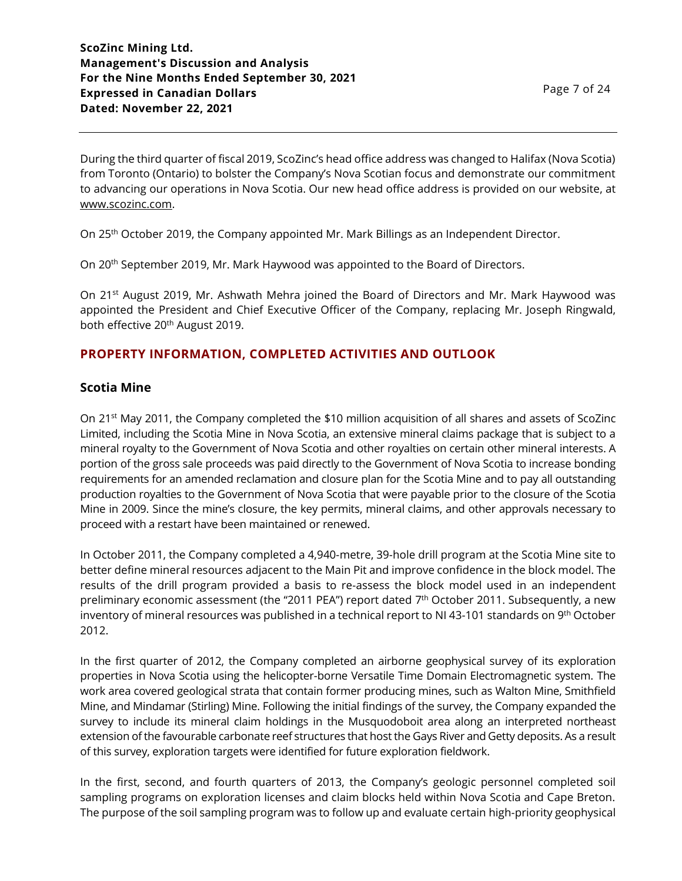During the third quarter of fiscal 2019, ScoZinc's head office address was changed to Halifax (Nova Scotia) from Toronto (Ontario) to bolster the Company's Nova Scotian focus and demonstrate our commitment to advancing our operations in Nova Scotia. Our new head office address is provided on our website, at [www.scozinc.com.](http://www.scozinc.com/)

On 25th October 2019, the Company appointed Mr. Mark Billings as an Independent Director.

On 20th September 2019, Mr. Mark Haywood was appointed to the Board of Directors.

On 21<sup>st</sup> August 2019, Mr. Ashwath Mehra joined the Board of Directors and Mr. Mark Haywood was appointed the President and Chief Executive Officer of the Company, replacing Mr. Joseph Ringwald, both effective 20<sup>th</sup> August 2019.

# **PROPERTY INFORMATION, COMPLETED ACTIVITIES AND OUTLOOK**

## **Scotia Mine**

On 21st May 2011, the Company completed the \$10 million acquisition of all shares and assets of ScoZinc Limited, including the Scotia Mine in Nova Scotia, an extensive mineral claims package that is subject to a mineral royalty to the Government of Nova Scotia and other royalties on certain other mineral interests. A portion of the gross sale proceeds was paid directly to the Government of Nova Scotia to increase bonding requirements for an amended reclamation and closure plan for the Scotia Mine and to pay all outstanding production royalties to the Government of Nova Scotia that were payable prior to the closure of the Scotia Mine in 2009. Since the mine's closure, the key permits, mineral claims, and other approvals necessary to proceed with a restart have been maintained or renewed.

In October 2011, the Company completed a 4,940-metre, 39-hole drill program at the Scotia Mine site to better define mineral resources adjacent to the Main Pit and improve confidence in the block model. The results of the drill program provided a basis to re-assess the block model used in an independent preliminary economic assessment (the "2011 PEA") report dated  $7^{\text{th}}$  October 2011. Subsequently, a new inventory of mineral resources was published in a technical report to NI 43-101 standards on 9<sup>th</sup> October 2012.

In the first quarter of 2012, the Company completed an airborne geophysical survey of its exploration properties in Nova Scotia using the helicopter-borne Versatile Time Domain Electromagnetic system. The work area covered geological strata that contain former producing mines, such as Walton Mine, Smithfield Mine, and Mindamar (Stirling) Mine. Following the initial findings of the survey, the Company expanded the survey to include its mineral claim holdings in the Musquodoboit area along an interpreted northeast extension of the favourable carbonate reef structures that host the Gays River and Getty deposits. As a result of this survey, exploration targets were identified for future exploration fieldwork.

In the first, second, and fourth quarters of 2013, the Company's geologic personnel completed soil sampling programs on exploration licenses and claim blocks held within Nova Scotia and Cape Breton. The purpose of the soil sampling program was to follow up and evaluate certain high-priority geophysical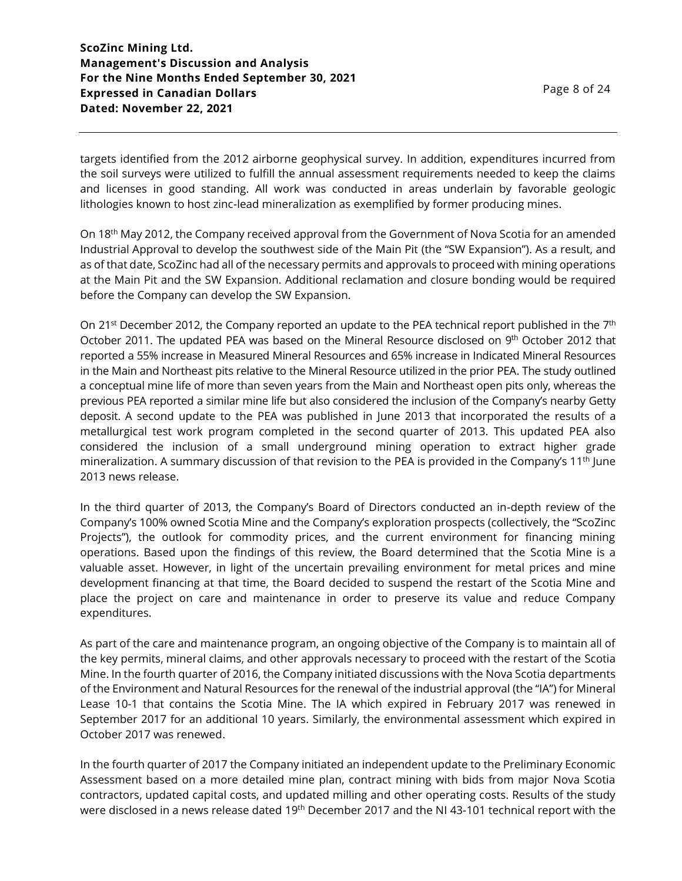targets identified from the 2012 airborne geophysical survey. In addition, expenditures incurred from the soil surveys were utilized to fulfill the annual assessment requirements needed to keep the claims and licenses in good standing. All work was conducted in areas underlain by favorable geologic lithologies known to host zinc-lead mineralization as exemplified by former producing mines.

On 18th May 2012, the Company received approval from the Government of Nova Scotia for an amended Industrial Approval to develop the southwest side of the Main Pit (the "SW Expansion"). As a result, and as of that date, ScoZinc had all of the necessary permits and approvals to proceed with mining operations at the Main Pit and the SW Expansion. Additional reclamation and closure bonding would be required before the Company can develop the SW Expansion.

On 21<sup>st</sup> December 2012, the Company reported an update to the PEA technical report published in the 7<sup>th</sup> October 2011. The updated PEA was based on the Mineral Resource disclosed on 9<sup>th</sup> October 2012 that reported a 55% increase in Measured Mineral Resources and 65% increase in Indicated Mineral Resources in the Main and Northeast pits relative to the Mineral Resource utilized in the prior PEA. The study outlined a conceptual mine life of more than seven years from the Main and Northeast open pits only, whereas the previous PEA reported a similar mine life but also considered the inclusion of the Company's nearby Getty deposit. A second update to the PEA was published in June 2013 that incorporated the results of a metallurgical test work program completed in the second quarter of 2013. This updated PEA also considered the inclusion of a small underground mining operation to extract higher grade mineralization. A summary discussion of that revision to the PEA is provided in the Company's 11th June 2013 news release.

In the third quarter of 2013, the Company's Board of Directors conducted an in-depth review of the Company's 100% owned Scotia Mine and the Company's exploration prospects (collectively, the "ScoZinc Projects"), the outlook for commodity prices, and the current environment for financing mining operations. Based upon the findings of this review, the Board determined that the Scotia Mine is a valuable asset. However, in light of the uncertain prevailing environment for metal prices and mine development financing at that time, the Board decided to suspend the restart of the Scotia Mine and place the project on care and maintenance in order to preserve its value and reduce Company expenditures.

As part of the care and maintenance program, an ongoing objective of the Company is to maintain all of the key permits, mineral claims, and other approvals necessary to proceed with the restart of the Scotia Mine. In the fourth quarter of 2016, the Company initiated discussions with the Nova Scotia departments of the Environment and Natural Resources for the renewal of the industrial approval (the "IA") for Mineral Lease 10-1 that contains the Scotia Mine. The IA which expired in February 2017 was renewed in September 2017 for an additional 10 years. Similarly, the environmental assessment which expired in October 2017 was renewed.

In the fourth quarter of 2017 the Company initiated an independent update to the Preliminary Economic Assessment based on a more detailed mine plan, contract mining with bids from major Nova Scotia contractors, updated capital costs, and updated milling and other operating costs. Results of the study were disclosed in a news release dated 19<sup>th</sup> December 2017 and the NI 43-101 technical report with the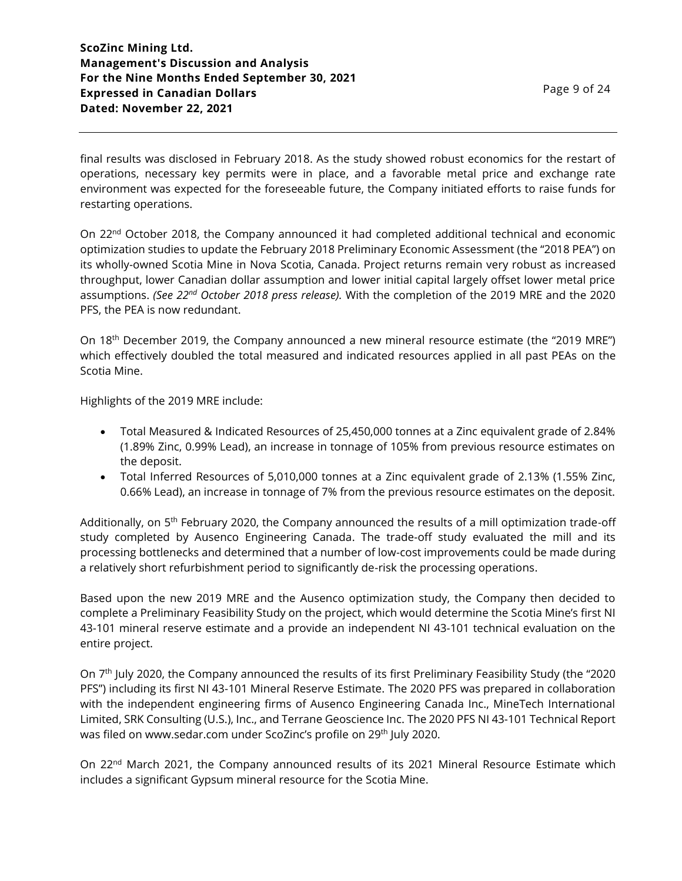final results was disclosed in February 2018. As the study showed robust economics for the restart of operations, necessary key permits were in place, and a favorable metal price and exchange rate environment was expected for the foreseeable future, the Company initiated efforts to raise funds for restarting operations.

On 22<sup>nd</sup> October 2018, the Company announced it had completed additional technical and economic optimization studies to update the February 2018 Preliminary Economic Assessment (the "2018 PEA") on its wholly-owned Scotia Mine in Nova Scotia, Canada. Project returns remain very robust as increased throughput, lower Canadian dollar assumption and lower initial capital largely offset lower metal price assumptions. *(See 22nd October 2018 press release).* With the completion of the 2019 MRE and the 2020 PFS, the PEA is now redundant.

On 18<sup>th</sup> December 2019, the Company announced a new mineral resource estimate (the "2019 MRE") which effectively doubled the total measured and indicated resources applied in all past PEAs on the Scotia Mine.

Highlights of the 2019 MRE include:

- Total Measured & Indicated Resources of 25,450,000 tonnes at a Zinc equivalent grade of 2.84% (1.89% Zinc, 0.99% Lead), an increase in tonnage of 105% from previous resource estimates on the deposit.
- Total Inferred Resources of 5,010,000 tonnes at a Zinc equivalent grade of 2.13% (1.55% Zinc, 0.66% Lead), an increase in tonnage of 7% from the previous resource estimates on the deposit.

Additionally, on 5<sup>th</sup> February 2020, the Company announced the results of a mill optimization trade-off study completed by Ausenco Engineering Canada. The trade-off study evaluated the mill and its processing bottlenecks and determined that a number of low-cost improvements could be made during a relatively short refurbishment period to significantly de-risk the processing operations.

Based upon the new 2019 MRE and the Ausenco optimization study, the Company then decided to complete a Preliminary Feasibility Study on the project, which would determine the Scotia Mine's first NI 43-101 mineral reserve estimate and a provide an independent NI 43-101 technical evaluation on the entire project.

On 7 th July 2020, the Company announced the results of its first Preliminary Feasibility Study (the "2020 PFS") including its first NI 43-101 Mineral Reserve Estimate. The 2020 PFS was prepared in collaboration with the independent engineering firms of Ausenco Engineering Canada Inc., MineTech International Limited, SRK Consulting (U.S.), Inc., and Terrane Geoscience Inc. The 2020 PFS NI 43-101 Technical Report was filed on www.sedar.com under ScoZinc's profile on 29<sup>th</sup> July 2020.

On 22<sup>nd</sup> March 2021, the Company announced results of its 2021 Mineral Resource Estimate which includes a significant Gypsum mineral resource for the Scotia Mine.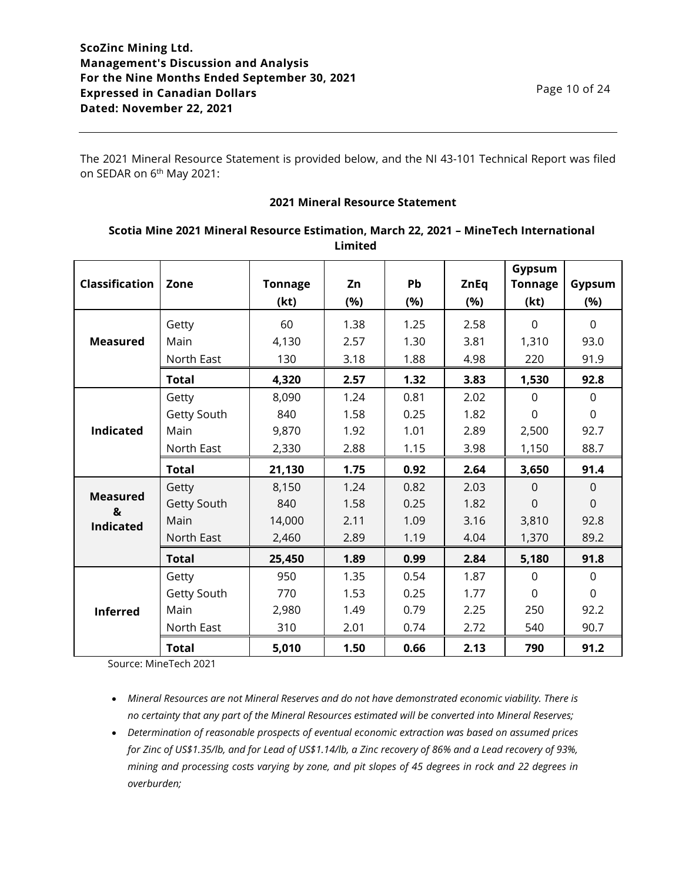Page 10 of 24

The 2021 Mineral Resource Statement is provided below, and the NI 43-101 Technical Report was filed on SEDAR on 6<sup>th</sup> May 2021:

### **2021 Mineral Resource Statement**

| <b>Classification</b> | Zone         | <b>Tonnage</b> | Zn   | Pb   | <b>ZnEq</b> | Gypsum<br><b>Tonnage</b> | Gypsum         |
|-----------------------|--------------|----------------|------|------|-------------|--------------------------|----------------|
|                       |              | (kt)           | (%)  | (%)  | (%)         | (kt)                     | (%)            |
|                       | Getty        | 60             | 1.38 | 1.25 | 2.58        | $\Omega$                 | $\Omega$       |
| <b>Measured</b>       | Main         | 4,130          | 2.57 | 1.30 | 3.81        | 1,310                    | 93.0           |
|                       | North East   | 130            | 3.18 | 1.88 | 4.98        | 220                      | 91.9           |
|                       | <b>Total</b> | 4,320          | 2.57 | 1.32 | 3.83        | 1,530                    | 92.8           |
|                       | Getty        | 8,090          | 1.24 | 0.81 | 2.02        | $\Omega$                 | 0              |
|                       | Getty South  | 840            | 1.58 | 0.25 | 1.82        | $\mathbf 0$              | 0              |
| <b>Indicated</b>      | Main         | 9,870          | 1.92 | 1.01 | 2.89        | 2,500                    | 92.7           |
|                       | North East   | 2,330          | 2.88 | 1.15 | 3.98        | 1,150                    | 88.7           |
|                       | <b>Total</b> | 21,130         | 1.75 | 0.92 | 2.64        | 3,650                    | 91.4           |
|                       | Getty        | 8,150          | 1.24 | 0.82 | 2.03        | $\Omega$                 | $\Omega$       |
| <b>Measured</b><br>&  | Getty South  | 840            | 1.58 | 0.25 | 1.82        | $\mathbf 0$              | $\mathbf 0$    |
| <b>Indicated</b>      | Main         | 14,000         | 2.11 | 1.09 | 3.16        | 3,810                    | 92.8           |
|                       | North East   | 2,460          | 2.89 | 1.19 | 4.04        | 1,370                    | 89.2           |
|                       | <b>Total</b> | 25,450         | 1.89 | 0.99 | 2.84        | 5,180                    | 91.8           |
|                       | Getty        | 950            | 1.35 | 0.54 | 1.87        | $\mathbf 0$              | $\mathbf 0$    |
|                       | Getty South  | 770            | 1.53 | 0.25 | 1.77        | $\Omega$                 | $\overline{0}$ |
| <b>Inferred</b>       | Main         | 2,980          | 1.49 | 0.79 | 2.25        | 250                      | 92.2           |
|                       | North East   | 310            | 2.01 | 0.74 | 2.72        | 540                      | 90.7           |
|                       | <b>Total</b> | 5,010          | 1.50 | 0.66 | 2.13        | 790                      | 91.2           |

**Scotia Mine 2021 Mineral Resource Estimation, March 22, 2021 – MineTech International Limited**

Source: MineTech 2021

• *Mineral Resources are not Mineral Reserves and do not have demonstrated economic viability. There is no certainty that any part of the Mineral Resources estimated will be converted into Mineral Reserves;*

• *Determination of reasonable prospects of eventual economic extraction was based on assumed prices for Zinc of US\$1.35/lb, and for Lead of US\$1.14/lb, a Zinc recovery of 86% and a Lead recovery of 93%, mining and processing costs varying by zone, and pit slopes of 45 degrees in rock and 22 degrees in overburden;*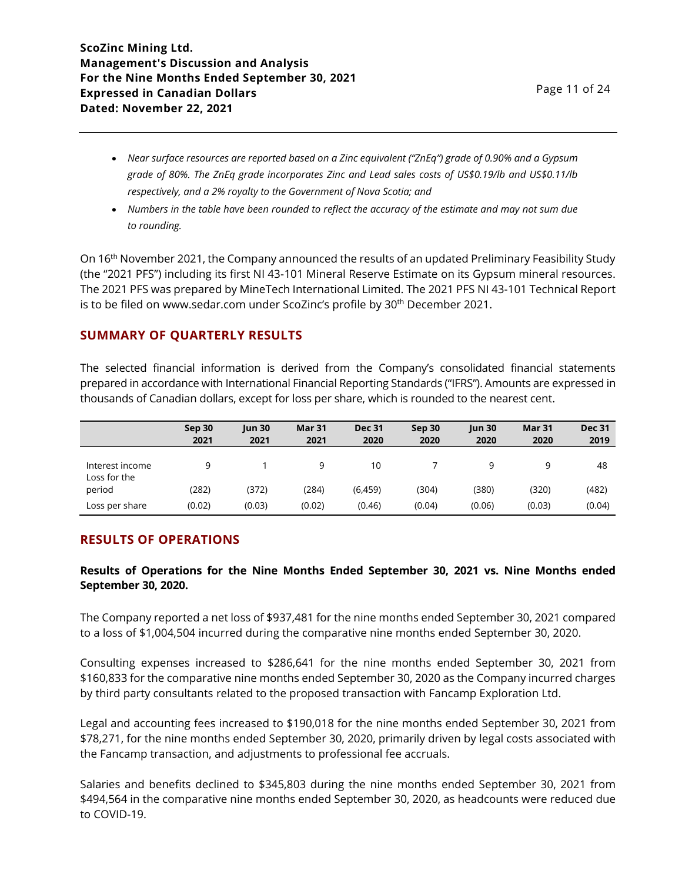- *Near surface resources are reported based on a Zinc equivalent ("ZnEq") grade of 0.90% and a Gypsum grade of 80%. The ZnEq grade incorporates Zinc and Lead sales costs of US\$0.19/lb and US\$0.11/lb respectively, and a 2% royalty to the Government of Nova Scotia; and*
- *Numbers in the table have been rounded to reflect the accuracy of the estimate and may not sum due to rounding.*

On 16th November 2021, the Company announced the results of an updated Preliminary Feasibility Study (the "2021 PFS") including its first NI 43-101 Mineral Reserve Estimate on its Gypsum mineral resources. The 2021 PFS was prepared by MineTech International Limited. The 2021 PFS NI 43-101 Technical Report is to be filed on www.sedar.com under ScoZinc's profile by 30<sup>th</sup> December 2021.

# **SUMMARY OF QUARTERLY RESULTS**

The selected financial information is derived from the Company's consolidated financial statements prepared in accordance with International Financial Reporting Standards ("IFRS"). Amounts are expressed in thousands of Canadian dollars, except for loss per share, which is rounded to the nearest cent.

|                                 | Sep 30<br>2021 | <b>Jun 30</b><br>2021 | Mar 31<br>2021 | <b>Dec 31</b><br>2020 | Sep 30<br>2020 | $\mu$ n 30<br>2020 | Mar 31<br>2020 | <b>Dec 31</b><br>2019 |
|---------------------------------|----------------|-----------------------|----------------|-----------------------|----------------|--------------------|----------------|-----------------------|
| Interest income<br>Loss for the | q              |                       | 9              | 10                    |                | q                  | 9              | 48                    |
| period                          | (282)          | (372)                 | (284)          | (6, 459)              | (304)          | (380)              | (320)          | (482)                 |
| Loss per share                  | (0.02)         | (0.03)                | (0.02)         | (0.46)                | (0.04)         | (0.06)             | (0.03)         | (0.04)                |

## **RESULTS OF OPERATIONS**

### **Results of Operations for the Nine Months Ended September 30, 2021 vs. Nine Months ended September 30, 2020.**

The Company reported a net loss of \$937,481 for the nine months ended September 30, 2021 compared to a loss of \$1,004,504 incurred during the comparative nine months ended September 30, 2020.

Consulting expenses increased to \$286,641 for the nine months ended September 30, 2021 from \$160,833 for the comparative nine months ended September 30, 2020 as the Company incurred charges by third party consultants related to the proposed transaction with Fancamp Exploration Ltd.

Legal and accounting fees increased to \$190,018 for the nine months ended September 30, 2021 from \$78,271, for the nine months ended September 30, 2020, primarily driven by legal costs associated with the Fancamp transaction, and adjustments to professional fee accruals.

Salaries and benefits declined to \$345,803 during the nine months ended September 30, 2021 from \$494,564 in the comparative nine months ended September 30, 2020, as headcounts were reduced due to COVID-19.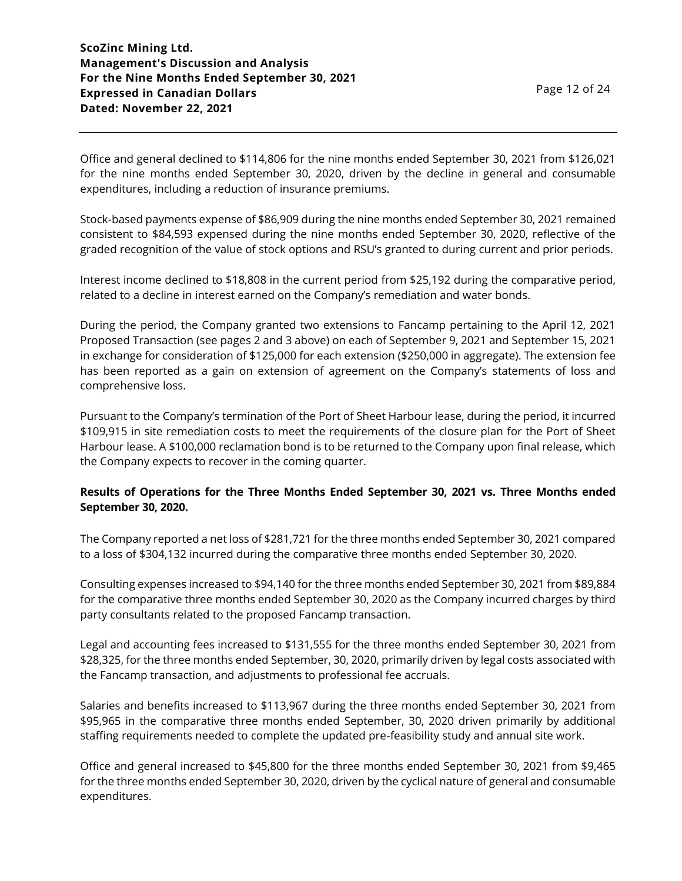Office and general declined to \$114,806 for the nine months ended September 30, 2021 from \$126,021 for the nine months ended September 30, 2020, driven by the decline in general and consumable expenditures, including a reduction of insurance premiums.

Stock-based payments expense of \$86,909 during the nine months ended September 30, 2021 remained consistent to \$84,593 expensed during the nine months ended September 30, 2020, reflective of the graded recognition of the value of stock options and RSU's granted to during current and prior periods.

Interest income declined to \$18,808 in the current period from \$25,192 during the comparative period, related to a decline in interest earned on the Company's remediation and water bonds.

During the period, the Company granted two extensions to Fancamp pertaining to the April 12, 2021 Proposed Transaction (see pages 2 and 3 above) on each of September 9, 2021 and September 15, 2021 in exchange for consideration of \$125,000 for each extension (\$250,000 in aggregate). The extension fee has been reported as a gain on extension of agreement on the Company's statements of loss and comprehensive loss.

Pursuant to the Company's termination of the Port of Sheet Harbour lease, during the period, it incurred \$109,915 in site remediation costs to meet the requirements of the closure plan for the Port of Sheet Harbour lease. A \$100,000 reclamation bond is to be returned to the Company upon final release, which the Company expects to recover in the coming quarter.

## **Results of Operations for the Three Months Ended September 30, 2021 vs. Three Months ended September 30, 2020.**

The Company reported a net loss of \$281,721 for the three months ended September 30, 2021 compared to a loss of \$304,132 incurred during the comparative three months ended September 30, 2020.

Consulting expenses increased to \$94,140 for the three months ended September 30, 2021 from \$89,884 for the comparative three months ended September 30, 2020 as the Company incurred charges by third party consultants related to the proposed Fancamp transaction.

Legal and accounting fees increased to \$131,555 for the three months ended September 30, 2021 from \$28,325, for the three months ended September, 30, 2020, primarily driven by legal costs associated with the Fancamp transaction, and adjustments to professional fee accruals.

Salaries and benefits increased to \$113,967 during the three months ended September 30, 2021 from \$95,965 in the comparative three months ended September, 30, 2020 driven primarily by additional staffing requirements needed to complete the updated pre-feasibility study and annual site work.

Office and general increased to \$45,800 for the three months ended September 30, 2021 from \$9,465 for the three months ended September 30, 2020, driven by the cyclical nature of general and consumable expenditures.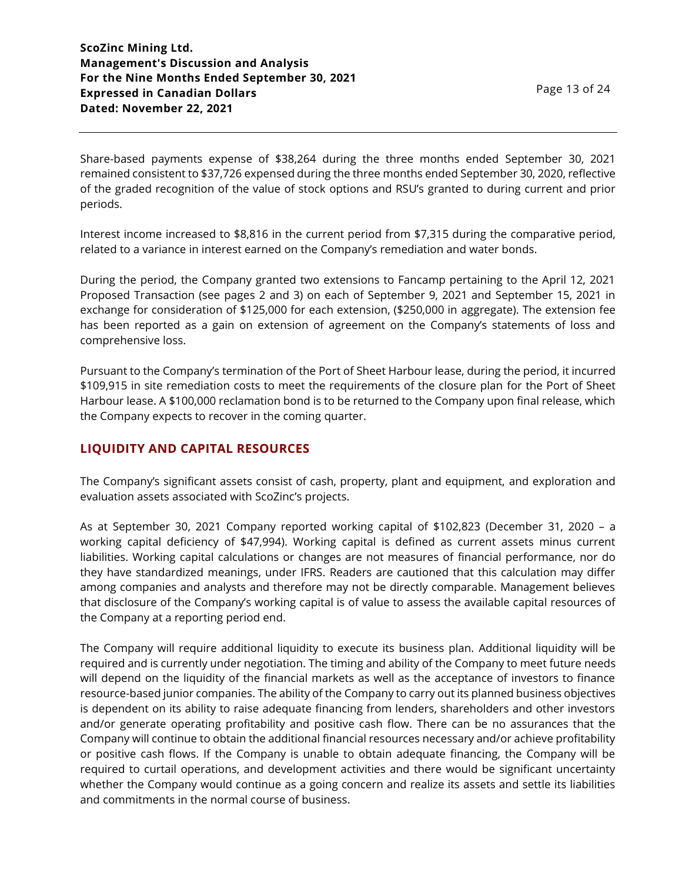Share-based payments expense of \$38,264 during the three months ended September 30, 2021 remained consistent to \$37,726 expensed during the three months ended September 30, 2020, reflective of the graded recognition of the value of stock options and RSU's granted to during current and prior periods.

Interest income increased to \$8,816 in the current period from \$7,315 during the comparative period, related to a variance in interest earned on the Company's remediation and water bonds.

During the period, the Company granted two extensions to Fancamp pertaining to the April 12, 2021 Proposed Transaction (see pages 2 and 3) on each of September 9, 2021 and September 15, 2021 in exchange for consideration of \$125,000 for each extension, (\$250,000 in aggregate). The extension fee has been reported as a gain on extension of agreement on the Company's statements of loss and comprehensive loss.

Pursuant to the Company's termination of the Port of Sheet Harbour lease, during the period, it incurred \$109,915 in site remediation costs to meet the requirements of the closure plan for the Port of Sheet Harbour lease. A \$100,000 reclamation bond is to be returned to the Company upon final release, which the Company expects to recover in the coming quarter.

## **LIQUIDITY AND CAPITAL RESOURCES**

The Company's significant assets consist of cash, property, plant and equipment, and exploration and evaluation assets associated with ScoZinc's projects.

As at September 30, 2021 Company reported working capital of \$102,823 (December 31, 2020 – a working capital deficiency of \$47,994). Working capital is defined as current assets minus current liabilities. Working capital calculations or changes are not measures of financial performance, nor do they have standardized meanings, under IFRS. Readers are cautioned that this calculation may differ among companies and analysts and therefore may not be directly comparable. Management believes that disclosure of the Company's working capital is of value to assess the available capital resources of the Company at a reporting period end.

The Company will require additional liquidity to execute its business plan. Additional liquidity will be required and is currently under negotiation. The timing and ability of the Company to meet future needs will depend on the liquidity of the financial markets as well as the acceptance of investors to finance resource-based junior companies. The ability of the Company to carry out its planned business objectives is dependent on its ability to raise adequate financing from lenders, shareholders and other investors and/or generate operating profitability and positive cash flow. There can be no assurances that the Company will continue to obtain the additional financial resources necessary and/or achieve profitability or positive cash flows. If the Company is unable to obtain adequate financing, the Company will be required to curtail operations, and development activities and there would be significant uncertainty whether the Company would continue as a going concern and realize its assets and settle its liabilities and commitments in the normal course of business.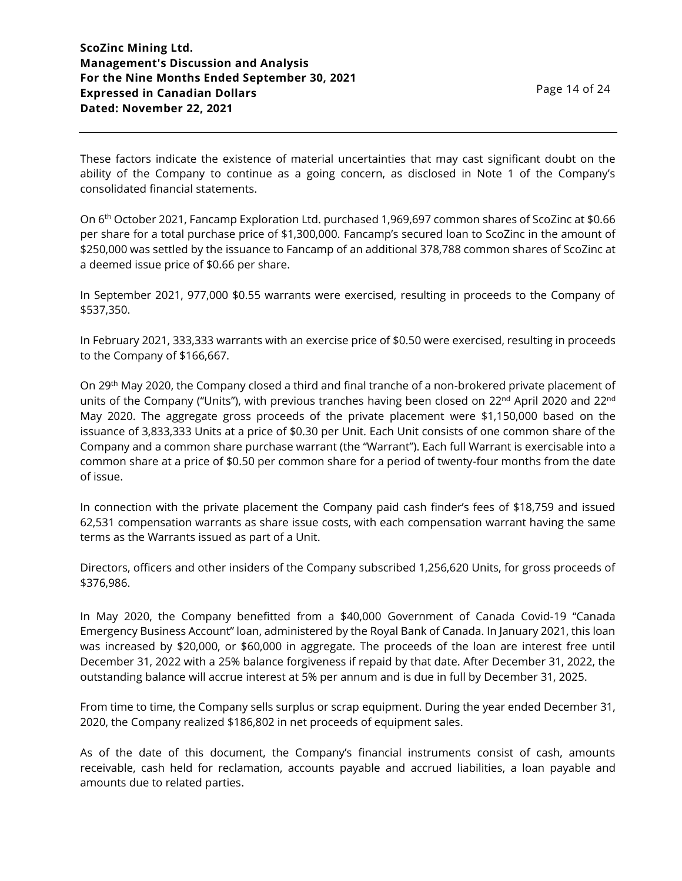These factors indicate the existence of material uncertainties that may cast significant doubt on the ability of the Company to continue as a going concern, as disclosed in Note 1 of the Company's consolidated financial statements.

On 6th October 2021, Fancamp Exploration Ltd. purchased 1,969,697 common shares of ScoZinc at \$0.66 per share for a total purchase price of \$1,300,000. Fancamp's secured loan to ScoZinc in the amount of \$250,000 was settled by the issuance to Fancamp of an additional 378,788 common shares of ScoZinc at a deemed issue price of \$0.66 per share.

In September 2021, 977,000 \$0.55 warrants were exercised, resulting in proceeds to the Company of \$537,350.

In February 2021, 333,333 warrants with an exercise price of \$0.50 were exercised, resulting in proceeds to the Company of \$166,667.

On 29<sup>th</sup> May 2020, the Company closed a third and final tranche of a non-brokered private placement of units of the Company ("Units"), with previous tranches having been closed on 22<sup>nd</sup> April 2020 and 22<sup>nd</sup> May 2020. The aggregate gross proceeds of the private placement were \$1,150,000 based on the issuance of 3,833,333 Units at a price of \$0.30 per Unit. Each Unit consists of one common share of the Company and a common share purchase warrant (the "Warrant"). Each full Warrant is exercisable into a common share at a price of \$0.50 per common share for a period of twenty-four months from the date of issue.

In connection with the private placement the Company paid cash finder's fees of \$18,759 and issued 62,531 compensation warrants as share issue costs, with each compensation warrant having the same terms as the Warrants issued as part of a Unit.

Directors, officers and other insiders of the Company subscribed 1,256,620 Units, for gross proceeds of \$376,986.

In May 2020, the Company benefitted from a \$40,000 Government of Canada Covid-19 "Canada Emergency Business Account" loan, administered by the Royal Bank of Canada. In January 2021, this loan was increased by \$20,000, or \$60,000 in aggregate. The proceeds of the loan are interest free until December 31, 2022 with a 25% balance forgiveness if repaid by that date. After December 31, 2022, the outstanding balance will accrue interest at 5% per annum and is due in full by December 31, 2025.

From time to time, the Company sells surplus or scrap equipment. During the year ended December 31, 2020, the Company realized \$186,802 in net proceeds of equipment sales.

As of the date of this document, the Company's financial instruments consist of cash, amounts receivable, cash held for reclamation, accounts payable and accrued liabilities, a loan payable and amounts due to related parties.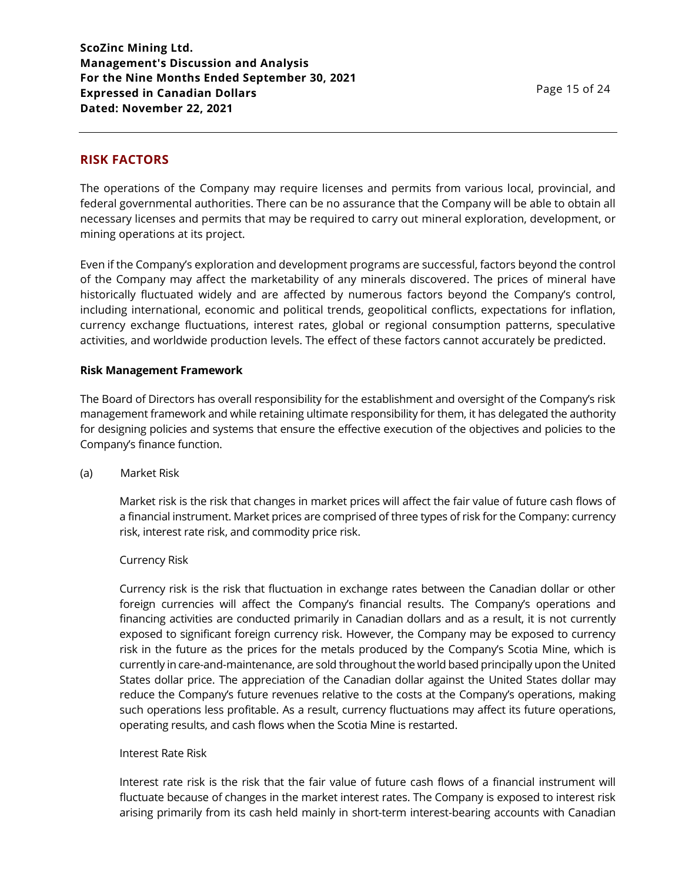# **RISK FACTORS**

The operations of the Company may require licenses and permits from various local, provincial, and federal governmental authorities. There can be no assurance that the Company will be able to obtain all necessary licenses and permits that may be required to carry out mineral exploration, development, or mining operations at its project.

Even if the Company's exploration and development programs are successful, factors beyond the control of the Company may affect the marketability of any minerals discovered. The prices of mineral have historically fluctuated widely and are affected by numerous factors beyond the Company's control, including international, economic and political trends, geopolitical conflicts, expectations for inflation, currency exchange fluctuations, interest rates, global or regional consumption patterns, speculative activities, and worldwide production levels. The effect of these factors cannot accurately be predicted.

#### **Risk Management Framework**

The Board of Directors has overall responsibility for the establishment and oversight of the Company's risk management framework and while retaining ultimate responsibility for them, it has delegated the authority for designing policies and systems that ensure the effective execution of the objectives and policies to the Company's finance function.

#### (a) Market Risk

Market risk is the risk that changes in market prices will affect the fair value of future cash flows of a financial instrument. Market prices are comprised of three types of risk for the Company: currency risk, interest rate risk, and commodity price risk.

#### Currency Risk

Currency risk is the risk that fluctuation in exchange rates between the Canadian dollar or other foreign currencies will affect the Company's financial results. The Company's operations and financing activities are conducted primarily in Canadian dollars and as a result, it is not currently exposed to significant foreign currency risk. However, the Company may be exposed to currency risk in the future as the prices for the metals produced by the Company's Scotia Mine, which is currently in care-and-maintenance, are sold throughout the world based principally upon the United States dollar price. The appreciation of the Canadian dollar against the United States dollar may reduce the Company's future revenues relative to the costs at the Company's operations, making such operations less profitable. As a result, currency fluctuations may affect its future operations, operating results, and cash flows when the Scotia Mine is restarted.

#### Interest Rate Risk

Interest rate risk is the risk that the fair value of future cash flows of a financial instrument will fluctuate because of changes in the market interest rates. The Company is exposed to interest risk arising primarily from its cash held mainly in short-term interest-bearing accounts with Canadian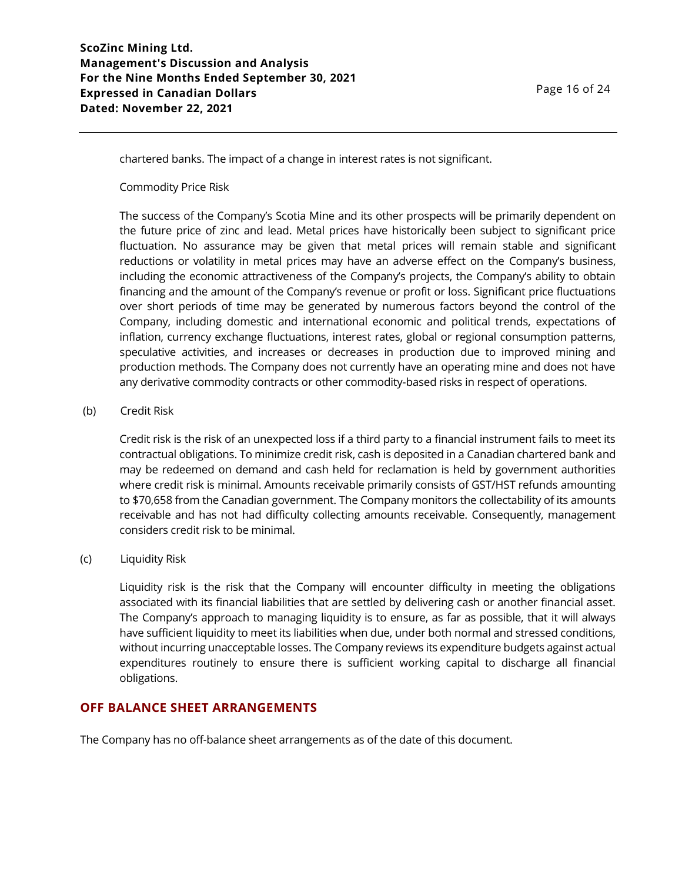chartered banks. The impact of a change in interest rates is not significant.

Commodity Price Risk

The success of the Company's Scotia Mine and its other prospects will be primarily dependent on the future price of zinc and lead. Metal prices have historically been subject to significant price fluctuation. No assurance may be given that metal prices will remain stable and significant reductions or volatility in metal prices may have an adverse effect on the Company's business, including the economic attractiveness of the Company's projects, the Company's ability to obtain financing and the amount of the Company's revenue or profit or loss. Significant price fluctuations over short periods of time may be generated by numerous factors beyond the control of the Company, including domestic and international economic and political trends, expectations of inflation, currency exchange fluctuations, interest rates, global or regional consumption patterns, speculative activities, and increases or decreases in production due to improved mining and production methods. The Company does not currently have an operating mine and does not have any derivative commodity contracts or other commodity-based risks in respect of operations.

#### (b) Credit Risk

Credit risk is the risk of an unexpected loss if a third party to a financial instrument fails to meet its contractual obligations. To minimize credit risk, cash is deposited in a Canadian chartered bank and may be redeemed on demand and cash held for reclamation is held by government authorities where credit risk is minimal. Amounts receivable primarily consists of GST/HST refunds amounting to \$70,658 from the Canadian government. The Company monitors the collectability of its amounts receivable and has not had difficulty collecting amounts receivable. Consequently, management considers credit risk to be minimal.

#### (c) Liquidity Risk

Liquidity risk is the risk that the Company will encounter difficulty in meeting the obligations associated with its financial liabilities that are settled by delivering cash or another financial asset. The Company's approach to managing liquidity is to ensure, as far as possible, that it will always have sufficient liquidity to meet its liabilities when due, under both normal and stressed conditions, without incurring unacceptable losses. The Company reviews its expenditure budgets against actual expenditures routinely to ensure there is sufficient working capital to discharge all financial obligations.

#### **OFF BALANCE SHEET ARRANGEMENTS**

The Company has no off-balance sheet arrangements as of the date of this document.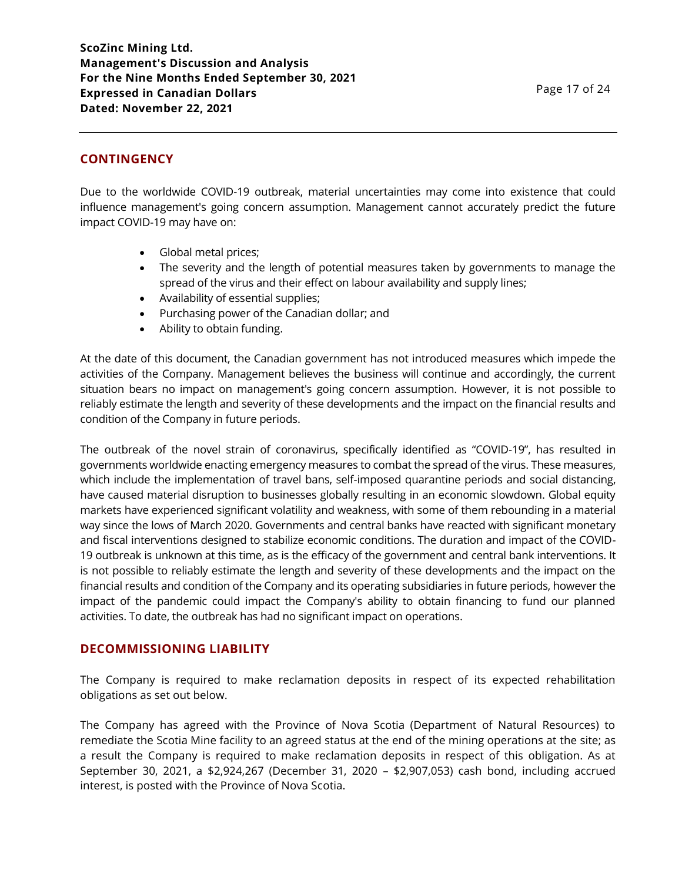# **CONTINGENCY**

Due to the worldwide COVID-19 outbreak, material uncertainties may come into existence that could influence management's going concern assumption. Management cannot accurately predict the future impact COVID-19 may have on:

- Global metal prices;
- The severity and the length of potential measures taken by governments to manage the spread of the virus and their effect on labour availability and supply lines;
- Availability of essential supplies;
- Purchasing power of the Canadian dollar; and
- Ability to obtain funding.

At the date of this document, the Canadian government has not introduced measures which impede the activities of the Company. Management believes the business will continue and accordingly, the current situation bears no impact on management's going concern assumption. However, it is not possible to reliably estimate the length and severity of these developments and the impact on the financial results and condition of the Company in future periods.

The outbreak of the novel strain of coronavirus, specifically identified as "COVID-19", has resulted in governments worldwide enacting emergency measures to combat the spread of the virus. These measures, which include the implementation of travel bans, self-imposed quarantine periods and social distancing, have caused material disruption to businesses globally resulting in an economic slowdown. Global equity markets have experienced significant volatility and weakness, with some of them rebounding in a material way since the lows of March 2020. Governments and central banks have reacted with significant monetary and fiscal interventions designed to stabilize economic conditions. The duration and impact of the COVID-19 outbreak is unknown at this time, as is the efficacy of the government and central bank interventions. It is not possible to reliably estimate the length and severity of these developments and the impact on the financial results and condition of the Company and its operating subsidiaries in future periods, however the impact of the pandemic could impact the Company's ability to obtain financing to fund our planned activities. To date, the outbreak has had no significant impact on operations.

## **DECOMMISSIONING LIABILITY**

The Company is required to make reclamation deposits in respect of its expected rehabilitation obligations as set out below.

The Company has agreed with the Province of Nova Scotia (Department of Natural Resources) to remediate the Scotia Mine facility to an agreed status at the end of the mining operations at the site; as a result the Company is required to make reclamation deposits in respect of this obligation. As at September 30, 2021, a \$2,924,267 (December 31, 2020 – \$2,907,053) cash bond, including accrued interest, is posted with the Province of Nova Scotia.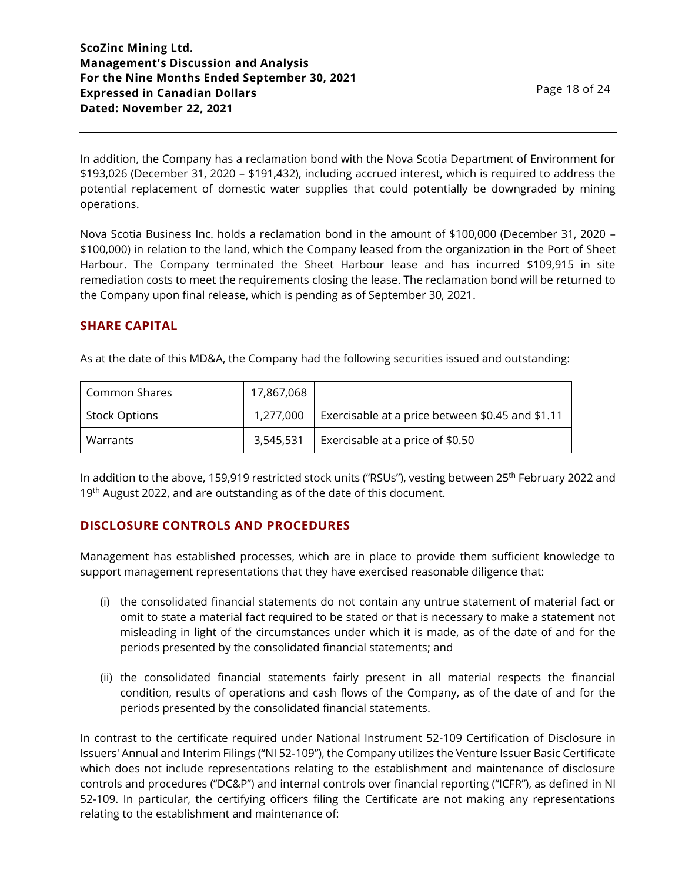In addition, the Company has a reclamation bond with the Nova Scotia Department of Environment for \$193,026 (December 31, 2020 – \$191,432), including accrued interest, which is required to address the potential replacement of domestic water supplies that could potentially be downgraded by mining operations.

Nova Scotia Business Inc. holds a reclamation bond in the amount of \$100,000 (December 31, 2020 – \$100,000) in relation to the land, which the Company leased from the organization in the Port of Sheet Harbour. The Company terminated the Sheet Harbour lease and has incurred \$109,915 in site remediation costs to meet the requirements closing the lease. The reclamation bond will be returned to the Company upon final release, which is pending as of September 30, 2021.

## **SHARE CAPITAL**

As at the date of this MD&A, the Company had the following securities issued and outstanding:

| Common Shares        | 17,867,068 |                                                  |
|----------------------|------------|--------------------------------------------------|
| <b>Stock Options</b> | 1.277.000  | Exercisable at a price between \$0.45 and \$1.11 |
| Warrants             | 3,545,531  | Exercisable at a price of \$0.50                 |

In addition to the above, 159,919 restricted stock units ("RSUs"), vesting between 25<sup>th</sup> February 2022 and 19<sup>th</sup> August 2022, and are outstanding as of the date of this document.

## **DISCLOSURE CONTROLS AND PROCEDURES**

Management has established processes, which are in place to provide them sufficient knowledge to support management representations that they have exercised reasonable diligence that:

- (i) the consolidated financial statements do not contain any untrue statement of material fact or omit to state a material fact required to be stated or that is necessary to make a statement not misleading in light of the circumstances under which it is made, as of the date of and for the periods presented by the consolidated financial statements; and
- (ii) the consolidated financial statements fairly present in all material respects the financial condition, results of operations and cash flows of the Company, as of the date of and for the periods presented by the consolidated financial statements.

In contrast to the certificate required under National Instrument 52-109 Certification of Disclosure in Issuers' Annual and Interim Filings ("NI 52-109"), the Company utilizes the Venture Issuer Basic Certificate which does not include representations relating to the establishment and maintenance of disclosure controls and procedures ("DC&P") and internal controls over financial reporting ("ICFR"), as defined in NI 52-109. In particular, the certifying officers filing the Certificate are not making any representations relating to the establishment and maintenance of: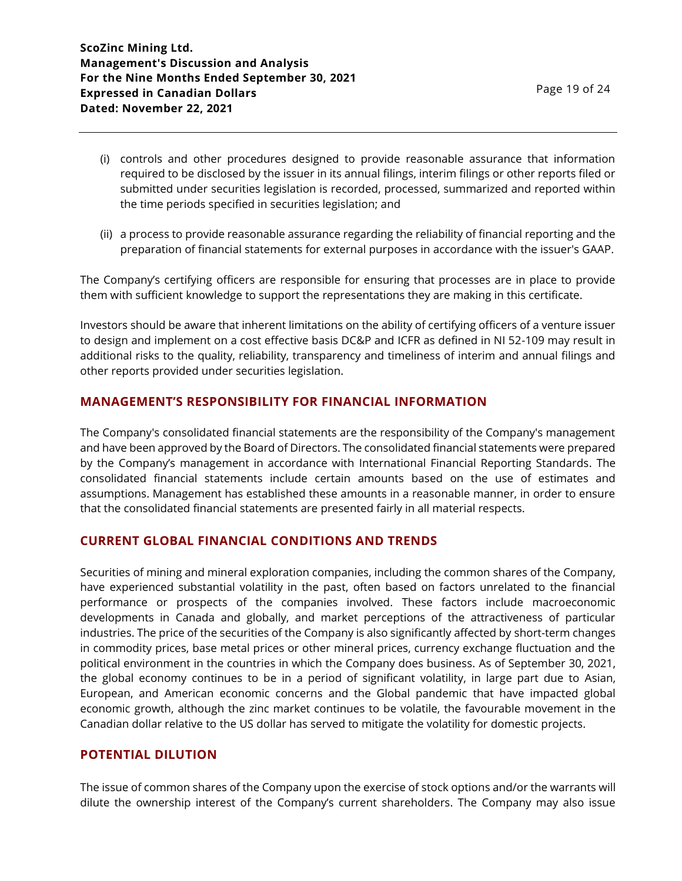- (i) controls and other procedures designed to provide reasonable assurance that information required to be disclosed by the issuer in its annual filings, interim filings or other reports filed or submitted under securities legislation is recorded, processed, summarized and reported within the time periods specified in securities legislation; and
- (ii) a process to provide reasonable assurance regarding the reliability of financial reporting and the preparation of financial statements for external purposes in accordance with the issuer's GAAP.

The Company's certifying officers are responsible for ensuring that processes are in place to provide them with sufficient knowledge to support the representations they are making in this certificate.

Investors should be aware that inherent limitations on the ability of certifying officers of a venture issuer to design and implement on a cost effective basis DC&P and ICFR as defined in NI 52-109 may result in additional risks to the quality, reliability, transparency and timeliness of interim and annual filings and other reports provided under securities legislation.

## **MANAGEMENT'S RESPONSIBILITY FOR FINANCIAL INFORMATION**

The Company's consolidated financial statements are the responsibility of the Company's management and have been approved by the Board of Directors. The consolidated financial statements were prepared by the Company's management in accordance with International Financial Reporting Standards. The consolidated financial statements include certain amounts based on the use of estimates and assumptions. Management has established these amounts in a reasonable manner, in order to ensure that the consolidated financial statements are presented fairly in all material respects.

#### **CURRENT GLOBAL FINANCIAL CONDITIONS AND TRENDS**

Securities of mining and mineral exploration companies, including the common shares of the Company, have experienced substantial volatility in the past, often based on factors unrelated to the financial performance or prospects of the companies involved. These factors include macroeconomic developments in Canada and globally, and market perceptions of the attractiveness of particular industries. The price of the securities of the Company is also significantly affected by short-term changes in commodity prices, base metal prices or other mineral prices, currency exchange fluctuation and the political environment in the countries in which the Company does business. As of September 30, 2021, the global economy continues to be in a period of significant volatility, in large part due to Asian, European, and American economic concerns and the Global pandemic that have impacted global economic growth, although the zinc market continues to be volatile, the favourable movement in the Canadian dollar relative to the US dollar has served to mitigate the volatility for domestic projects.

### **POTENTIAL DILUTION**

The issue of common shares of the Company upon the exercise of stock options and/or the warrants will dilute the ownership interest of the Company's current shareholders. The Company may also issue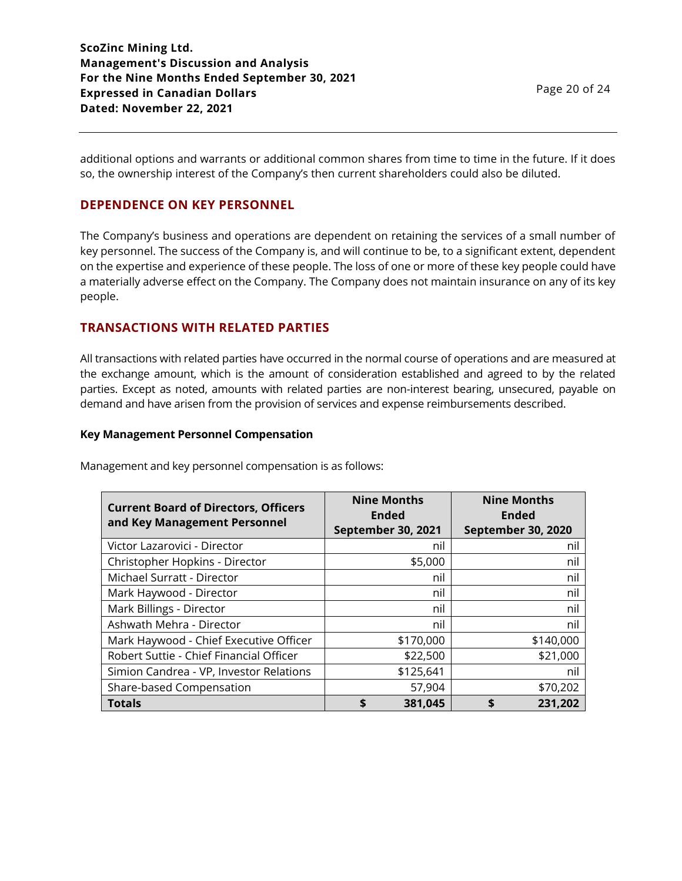**ScoZinc Mining Ltd. Management's Discussion and Analysis For the Nine Months Ended September 30, 2021 Expressed in Canadian Dollars Dated: November 22, 2021**

additional options and warrants or additional common shares from time to time in the future. If it does so, the ownership interest of the Company's then current shareholders could also be diluted.

# **DEPENDENCE ON KEY PERSONNEL**

The Company's business and operations are dependent on retaining the services of a small number of key personnel. The success of the Company is, and will continue to be, to a significant extent, dependent on the expertise and experience of these people. The loss of one or more of these key people could have a materially adverse effect on the Company. The Company does not maintain insurance on any of its key people.

# **TRANSACTIONS WITH RELATED PARTIES**

All transactions with related parties have occurred in the normal course of operations and are measured at the exchange amount, which is the amount of consideration established and agreed to by the related parties. Except as noted, amounts with related parties are non-interest bearing, unsecured, payable on demand and have arisen from the provision of services and expense reimbursements described.

#### **Key Management Personnel Compensation**

| <b>Current Board of Directors, Officers</b><br>and Key Management Personnel | <b>Nine Months</b><br><b>Ended</b><br><b>September 30, 2021</b> | <b>Nine Months</b><br><b>Ended</b><br>September 30, 2020 |
|-----------------------------------------------------------------------------|-----------------------------------------------------------------|----------------------------------------------------------|
| Victor Lazarovici - Director                                                | nil                                                             | nil                                                      |
| Christopher Hopkins - Director                                              | \$5,000                                                         | nil                                                      |
| Michael Surratt - Director                                                  | nil                                                             | nil                                                      |
| Mark Haywood - Director                                                     | nil                                                             | nil                                                      |
| Mark Billings - Director                                                    | nil                                                             | nil                                                      |
| Ashwath Mehra - Director                                                    | nil                                                             | nil                                                      |
| Mark Haywood - Chief Executive Officer                                      | \$170,000                                                       | \$140,000                                                |
| Robert Suttie - Chief Financial Officer                                     | \$22,500                                                        | \$21,000                                                 |
| Simion Candrea - VP, Investor Relations                                     | \$125,641                                                       | nil                                                      |
| Share-based Compensation                                                    | 57,904                                                          | \$70,202                                                 |
| <b>Totals</b>                                                               | 381,045<br>\$                                                   | 231,202                                                  |

Management and key personnel compensation is as follows: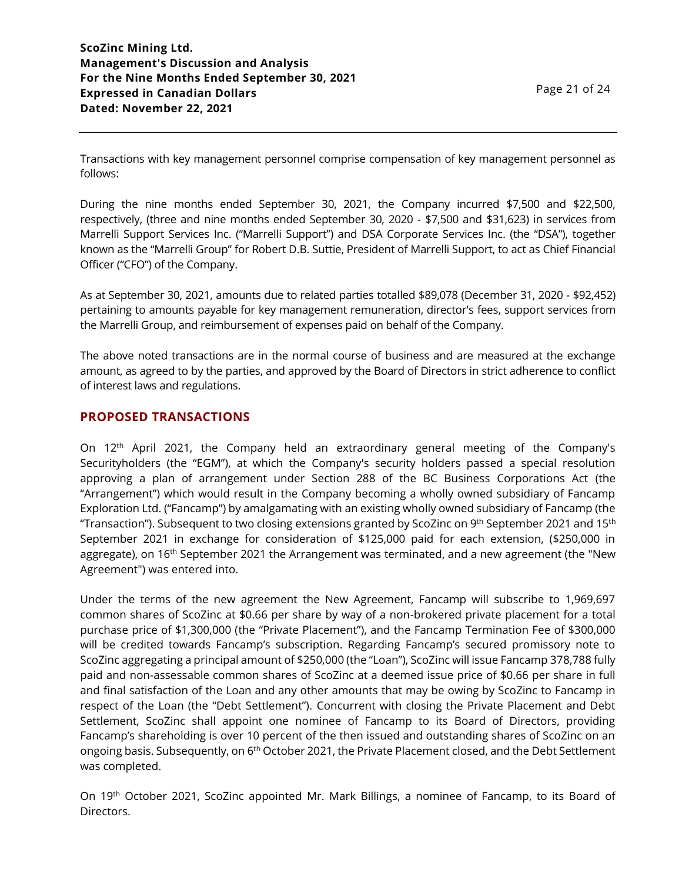Transactions with key management personnel comprise compensation of key management personnel as follows:

During the nine months ended September 30, 2021, the Company incurred \$7,500 and \$22,500, respectively, (three and nine months ended September 30, 2020 - \$7,500 and \$31,623) in services from Marrelli Support Services Inc. ("Marrelli Support") and DSA Corporate Services Inc. (the "DSA"), together known as the "Marrelli Group" for Robert D.B. Suttie, President of Marrelli Support, to act as Chief Financial Officer ("CFO") of the Company.

As at September 30, 2021, amounts due to related parties totalled \$89,078 (December 31, 2020 - \$92,452) pertaining to amounts payable for key management remuneration, director's fees, support services from the Marrelli Group, and reimbursement of expenses paid on behalf of the Company.

The above noted transactions are in the normal course of business and are measured at the exchange amount, as agreed to by the parties, and approved by the Board of Directors in strict adherence to conflict of interest laws and regulations.

## **PROPOSED TRANSACTIONS**

On 12th April 2021, the Company held an extraordinary general meeting of the Company's Securityholders (the "EGM"), at which the Company's security holders passed a special resolution approving a plan of arrangement under Section 288 of the BC Business Corporations Act (the "Arrangement") which would result in the Company becoming a wholly owned subsidiary of Fancamp Exploration Ltd. ("Fancamp") by amalgamating with an existing wholly owned subsidiary of Fancamp (the "Transaction"). Subsequent to two closing extensions granted by ScoZinc on 9<sup>th</sup> September 2021 and 15<sup>th</sup> September 2021 in exchange for consideration of \$125,000 paid for each extension, (\$250,000 in aggregate), on 16<sup>th</sup> September 2021 the Arrangement was terminated, and a new agreement (the "New Agreement") was entered into.

Under the terms of the new agreement the New Agreement, Fancamp will subscribe to 1,969,697 common shares of ScoZinc at \$0.66 per share by way of a non-brokered private placement for a total purchase price of \$1,300,000 (the "Private Placement"), and the Fancamp Termination Fee of \$300,000 will be credited towards Fancamp's subscription. Regarding Fancamp's secured promissory note to ScoZinc aggregating a principal amount of \$250,000 (the "Loan"), ScoZinc will issue Fancamp 378,788 fully paid and non-assessable common shares of ScoZinc at a deemed issue price of \$0.66 per share in full and final satisfaction of the Loan and any other amounts that may be owing by ScoZinc to Fancamp in respect of the Loan (the "Debt Settlement"). Concurrent with closing the Private Placement and Debt Settlement, ScoZinc shall appoint one nominee of Fancamp to its Board of Directors, providing Fancamp's shareholding is over 10 percent of the then issued and outstanding shares of ScoZinc on an ongoing basis. Subsequently, on 6<sup>th</sup> October 2021, the Private Placement closed, and the Debt Settlement was completed.

On 19th October 2021, ScoZinc appointed Mr. Mark Billings, a nominee of Fancamp, to its Board of Directors.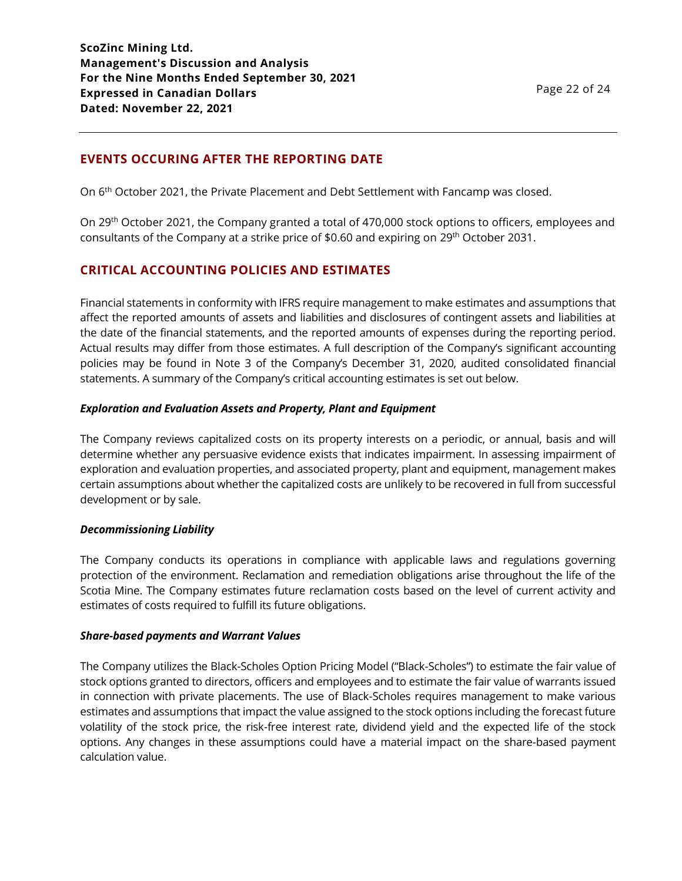# **EVENTS OCCURING AFTER THE REPORTING DATE**

On 6th October 2021, the Private Placement and Debt Settlement with Fancamp was closed.

On 29th October 2021, the Company granted a total of 470,000 stock options to officers, employees and consultants of the Company at a strike price of \$0.60 and expiring on 29th October 2031.

# **CRITICAL ACCOUNTING POLICIES AND ESTIMATES**

Financial statements in conformity with IFRS require management to make estimates and assumptions that affect the reported amounts of assets and liabilities and disclosures of contingent assets and liabilities at the date of the financial statements, and the reported amounts of expenses during the reporting period. Actual results may differ from those estimates. A full description of the Company's significant accounting policies may be found in Note 3 of the Company's December 31, 2020, audited consolidated financial statements. A summary of the Company's critical accounting estimates is set out below.

### *Exploration and Evaluation Assets and Property, Plant and Equipment*

The Company reviews capitalized costs on its property interests on a periodic, or annual, basis and will determine whether any persuasive evidence exists that indicates impairment. In assessing impairment of exploration and evaluation properties, and associated property, plant and equipment, management makes certain assumptions about whether the capitalized costs are unlikely to be recovered in full from successful development or by sale.

## *Decommissioning Liability*

The Company conducts its operations in compliance with applicable laws and regulations governing protection of the environment. Reclamation and remediation obligations arise throughout the life of the Scotia Mine. The Company estimates future reclamation costs based on the level of current activity and estimates of costs required to fulfill its future obligations.

#### *Share-based payments and Warrant Values*

The Company utilizes the Black-Scholes Option Pricing Model ("Black-Scholes") to estimate the fair value of stock options granted to directors, officers and employees and to estimate the fair value of warrants issued in connection with private placements. The use of Black-Scholes requires management to make various estimates and assumptions that impact the value assigned to the stock options including the forecast future volatility of the stock price, the risk-free interest rate, dividend yield and the expected life of the stock options. Any changes in these assumptions could have a material impact on the share-based payment calculation value.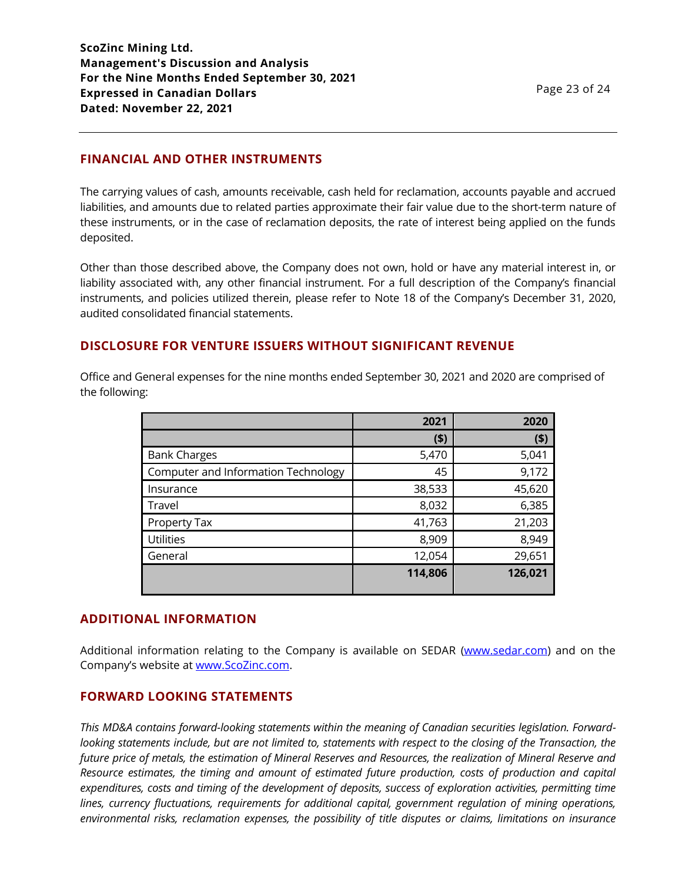**ScoZinc Mining Ltd. Management's Discussion and Analysis For the Nine Months Ended September 30, 2021 Expressed in Canadian Dollars Dated: November 22, 2021**

## **FINANCIAL AND OTHER INSTRUMENTS**

The carrying values of cash, amounts receivable, cash held for reclamation, accounts payable and accrued liabilities, and amounts due to related parties approximate their fair value due to the short-term nature of these instruments, or in the case of reclamation deposits, the rate of interest being applied on the funds deposited.

Other than those described above, the Company does not own, hold or have any material interest in, or liability associated with, any other financial instrument. For a full description of the Company's financial instruments, and policies utilized therein, please refer to Note 18 of the Company's December 31, 2020, audited consolidated financial statements.

## **DISCLOSURE FOR VENTURE ISSUERS WITHOUT SIGNIFICANT REVENUE**

Office and General expenses for the nine months ended September 30, 2021 and 2020 are comprised of the following:

|                                     | 2021    | 2020    |
|-------------------------------------|---------|---------|
|                                     | $($ \$) | (5)     |
| <b>Bank Charges</b>                 | 5,470   | 5,041   |
| Computer and Information Technology | 45      | 9,172   |
| Insurance                           | 38,533  | 45,620  |
| Travel                              | 8,032   | 6,385   |
| Property Tax                        | 41,763  | 21,203  |
| <b>Utilities</b>                    | 8,909   | 8,949   |
| General                             | 12,054  | 29,651  |
|                                     | 114,806 | 126,021 |

#### **ADDITIONAL INFORMATION**

Additional information relating to the Company is available on SEDAR [\(www.sedar.com\)](http://www.sedar.com/) and on the Company's website at [www.ScoZinc.com.](http://www.scozinc.com/)

### **FORWARD LOOKING STATEMENTS**

*This MD&A contains forward-looking statements within the meaning of Canadian securities legislation. Forwardlooking statements include, but are not limited to, statements with respect to the closing of the Transaction, the future price of metals, the estimation of Mineral Reserves and Resources, the realization of Mineral Reserve and Resource estimates, the timing and amount of estimated future production, costs of production and capital expenditures, costs and timing of the development of deposits, success of exploration activities, permitting time lines, currency fluctuations, requirements for additional capital, government regulation of mining operations, environmental risks, reclamation expenses, the possibility of title disputes or claims, limitations on insurance*